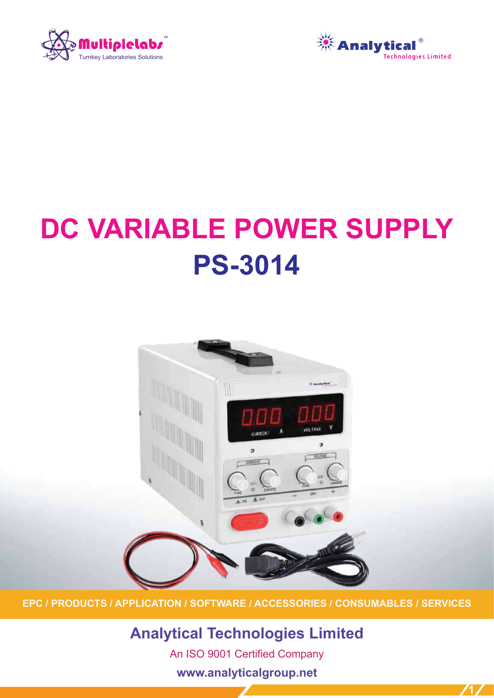



**1**

# **DC VARIABLE POWER SUPPLY PS-3014**



**EPC / PRODUCTS / APPLICATION / SOFTWARE / ACCESSORIES / CONSUMABLES / SERVICES**

**Analytical Technologies Limited** An ISO 9001 Certified Company

**www.analyticalgroup.net**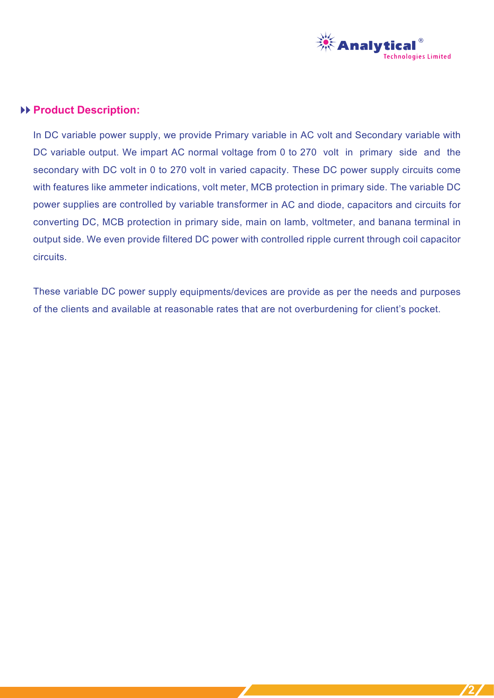

#### **Product Description:**

In DC variable power supply, we provide Primary variable in AC volt and Secondary variable with DC variable output. We impart AC normal voltage from 0 to 270 volt in primary side and the secondary with DC volt in 0 to 270 volt in varied capacity. These DC power supply circuits come with features like ammeter indications, volt meter, MCB protection in primary side. The variable DC power supplies are controlled by variable transformer in AC and diode, capacitors and circuits for converting DC, MCB protection in primary side, main on lamb, voltmeter, and banana terminal in output side. We even provide filtered DC power with controlled ripple current through coil capacitor circuits.

These variable DC power supply equipments/devices are provide as per the needs and purposes of the clients and available at reasonable rates that are not overburdening for client's pocket.

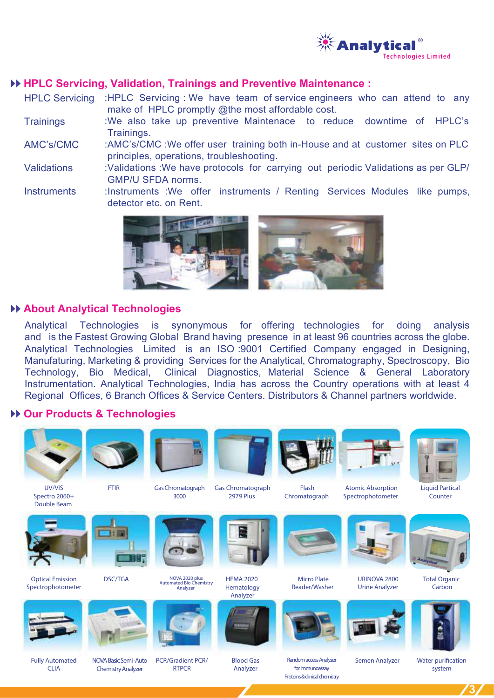

#### **HPLC Servicing, Validation, Trainings and Preventive Maintenance :**

 make of HPLC promptly @the most affordable cost. :HPLC Servicing : We have team of service engineers who can attend to any HPLC Servicing

- :We also take up preventive Maintenace to reduce downtime of HPLC's Trainings. **Trainings**
- :AMC's/CMC :We offer user training both in-House and at customer sites on PLC principles, operations, troubleshooting. AMC's/CMC
- :Validations :We have protocols for carrying out periodic Validations as per GLP/ GMP/U SFDA norms. Validations
- :Instruments :We offer instruments / Renting Services Modules like pumps, detector etc. on Rent. **Instruments**



#### **About Analytical Technologies**

and is the Fastest Growing Global Brand having presence in at least 96 countries across the globe.<br>And the Little Little device in the fact of the 1990-0004 Contribute Corp. 2004 the Device of the Device of the **ANALYSER FOR SNSLYSIS OF**  Manufaturing, Marketing & providing Services for the Analytical, Chromatography, Spectroscopy, Bio Technology, Bio Medical, Clinical Diagnostics, Material Science & General Laboratory Analytical Technologies is synonymous for offering technologies for doing analysis Analytical Technologies Limited is an ISO :9001 Certified Company engaged in Designing, Instrumentation. Analytical Technologies, India has across the Country operations with at least 4 Regional Offices, 6 Branch Offices & Service Centers. Distributors & Channel partners worldwide.

#### **Our Products & Technologies**